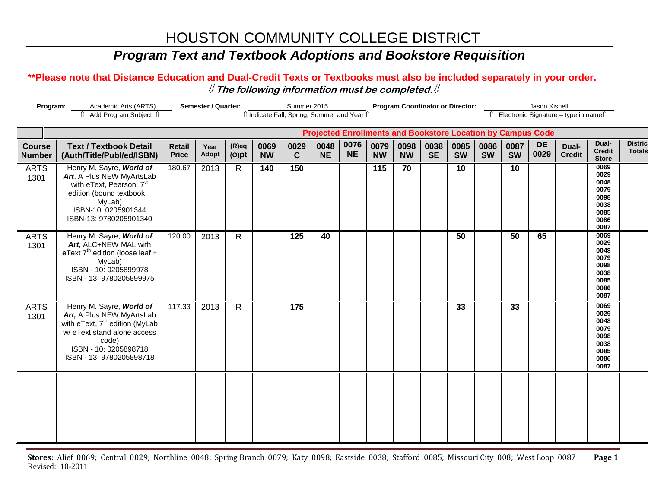### *Program Text and Textbook Adoptions and Bookstore Requisition*

#### **\*\*Please note that Distance Education and Dual-Credit Texts or Textbooks must also be included separately in your order.**  ⇓ **The following information must be completed.**⇓

|                                | Program:<br>Academic Arts (ARTS)                                                                                                                                                                 |                        | Semester / Quarter:<br>Summer 2015 |                      |                   |                                              |                                                                    |                   | <b>Program Coordinator or Director:</b><br>Jason Kishell |                   |                   |                   |                   |                   |                   |                                        |                                                                      |                                 |
|--------------------------------|--------------------------------------------------------------------------------------------------------------------------------------------------------------------------------------------------|------------------------|------------------------------------|----------------------|-------------------|----------------------------------------------|--------------------------------------------------------------------|-------------------|----------------------------------------------------------|-------------------|-------------------|-------------------|-------------------|-------------------|-------------------|----------------------------------------|----------------------------------------------------------------------|---------------------------------|
|                                | ↑ Add Program Subject ↑                                                                                                                                                                          |                        |                                    |                      |                   | îl Indicate Fall, Spring, Summer and Year îl |                                                                    |                   |                                                          |                   |                   |                   |                   |                   |                   | î Electronic Signature - type in nameî |                                                                      |                                 |
|                                |                                                                                                                                                                                                  |                        |                                    |                      |                   |                                              | <b>Projected Enrollments and Bookstore Location by Campus Code</b> |                   |                                                          |                   |                   |                   |                   |                   |                   |                                        |                                                                      |                                 |
| <b>Course</b><br><b>Number</b> | <b>Text / Textbook Detail</b><br>(Auth/Title/Publ/ed/ISBN)                                                                                                                                       | Retail<br><b>Price</b> | Year<br>Adopt                      | $(R)$ eq<br>$(O)$ pt | 0069<br><b>NW</b> | 0029<br>$\mathbf{C}$                         | 0048<br><b>NE</b>                                                  | 0076<br><b>NE</b> | 0079<br><b>NW</b>                                        | 0098<br><b>NW</b> | 0038<br><b>SE</b> | 0085<br><b>SW</b> | 0086<br><b>SW</b> | 0087<br><b>SW</b> | <b>DE</b><br>0029 | Dual-<br><b>Credit</b>                 | Dual-<br><b>Credit</b><br><b>Store</b>                               | <b>Distric</b><br><b>Totals</b> |
| <b>ARTS</b><br>1301            | Henry M. Sayre, World of<br>Art, A Plus NEW MyArtsLab<br>with eText, Pearson, 7 <sup>th</sup><br>edition (bound textbook +<br>MyLab)<br>ISBN-10: 0205901344<br>ISBN-13: 9780205901340            | 180.67                 | 2013                               | $\mathsf{R}$         | 140               | 150                                          |                                                                    |                   | 115                                                      | 70                |                   | 10                |                   | 10                |                   |                                        | 0069<br>0029<br>0048<br>0079<br>0098<br>0038<br>0085<br>0086<br>0087 |                                 |
| <b>ARTS</b><br>1301            | Henry M. Sayre, World of<br>Art, ALC+NEW MAL with<br>eText $7th$ edition (loose leaf +<br>MyLab)<br>ISBN - 10: 0205899978<br>ISBN - 13: 9780205899975                                            | 120.00                 | 2013                               | R                    |                   | 125                                          | 40                                                                 |                   |                                                          |                   |                   | 50                |                   | 50                | 65                |                                        | 0069<br>0029<br>0048<br>0079<br>0098<br>0038<br>0085<br>0086<br>0087 |                                 |
| <b>ARTS</b><br>1301            | Henry M. Sayre, World of<br>Art, A Plus NEW MyArtsLab<br>with eText, 7 <sup>th</sup> edition (MyLab<br>w/ eText stand alone access<br>code)<br>ISBN - 10: 0205898718<br>ISBN - 13: 9780205898718 | 117.33                 | 2013                               | $\mathsf{R}$         |                   | 175                                          |                                                                    |                   |                                                          |                   |                   | 33                |                   | 33                |                   |                                        | 0069<br>0029<br>0048<br>0079<br>0098<br>0038<br>0085<br>0086<br>0087 |                                 |
|                                |                                                                                                                                                                                                  |                        |                                    |                      |                   |                                              |                                                                    |                   |                                                          |                   |                   |                   |                   |                   |                   |                                        |                                                                      |                                 |

**Stores:** Alief 0069; Central 0029; Northline 0048; Spring Branch 0079; Katy 0098; Eastside 0038; Stafford 0085; Missouri City 008; West Loop 0087 **Page 1** Revised: 10-2011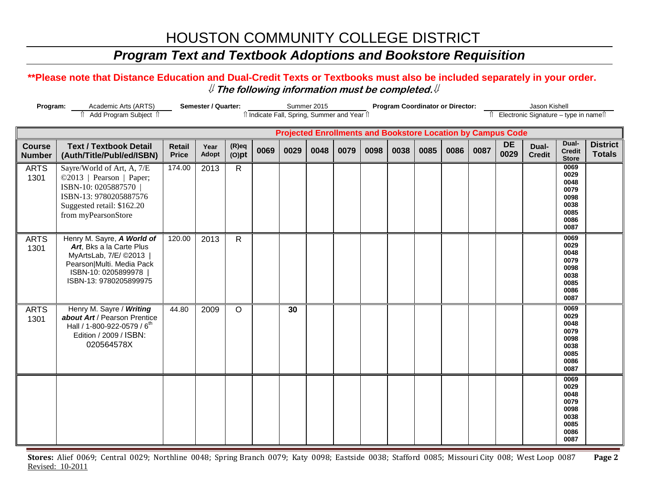### *Program Text and Textbook Adoptions and Bookstore Requisition*

#### **\*\*Please note that Distance Education and Dual-Credit Texts or Textbooks must also be included separately in your order.**  ⇓ **The following information must be completed.**⇓

| Semester / Quarter:<br>Program:<br>Academic Arts (ARTS) |                                                                                                                                                               |                               |               | Summer 2015          |      |                                              |      |      | <b>Program Coordinator or Director:</b> |      |      |      |                                          |                                                                    | Jason Kishell          |                                                                      |                                  |
|---------------------------------------------------------|---------------------------------------------------------------------------------------------------------------------------------------------------------------|-------------------------------|---------------|----------------------|------|----------------------------------------------|------|------|-----------------------------------------|------|------|------|------------------------------------------|--------------------------------------------------------------------|------------------------|----------------------------------------------------------------------|----------------------------------|
|                                                         | î Add Program Subject î                                                                                                                                       |                               |               |                      |      | îl Indicate Fall, Spring, Summer and Year îl |      |      |                                         |      |      |      | Îl Electronic Signature - type in nameîl |                                                                    |                        |                                                                      |                                  |
|                                                         |                                                                                                                                                               |                               |               |                      |      |                                              |      |      |                                         |      |      |      |                                          | <b>Projected Enrollments and Bookstore Location by Campus Code</b> |                        |                                                                      |                                  |
| <b>Course</b><br><b>Number</b>                          | <b>Text / Textbook Detail</b><br>(Auth/Title/Publ/ed/ISBN)                                                                                                    | <b>Retail</b><br><b>Price</b> | Year<br>Adopt | $(R)$ eq<br>$(O)$ pt | 0069 | 0029                                         | 0048 | 0079 | 0098                                    | 0038 | 0085 | 0086 | 0087                                     | <b>DE</b><br>0029                                                  | Dual-<br><b>Credit</b> | Dual-<br><b>Credit</b><br><b>Store</b>                               | <b>District</b><br><b>Totals</b> |
| <b>ARTS</b><br>1301                                     | Sayre/World of Art, A, 7/E<br>©2013   Pearson   Paper;<br>ISBN-10: 0205887570<br>ISBN-13: 9780205887576<br>Suggested retail: \$162.20<br>from myPearsonStore  | 174.00                        | 2013          | $\mathsf{R}$         |      |                                              |      |      |                                         |      |      |      |                                          |                                                                    |                        | 0069<br>0029<br>0048<br>0079<br>0098<br>0038<br>0085<br>0086<br>0087 |                                  |
| <b>ARTS</b><br>1301                                     | Henry M. Sayre, A World of<br>Art, Bks a la Carte Plus<br>MyArtsLab, 7/E/ ©2013<br>Pearson Multi. Media Pack<br>ISBN-10: 0205899978<br>ISBN-13: 9780205899975 | 120.00                        | 2013          | $\mathsf{R}$         |      |                                              |      |      |                                         |      |      |      |                                          |                                                                    |                        | 0069<br>0029<br>0048<br>0079<br>0098<br>0038<br>0085<br>0086<br>0087 |                                  |
| <b>ARTS</b><br>1301                                     | Henry M. Sayre / Writing<br>about Art / Pearson Prentice<br>Hall / 1-800-922-0579 / 6 <sup>th</sup><br>Edition / 2009 / ISBN:<br>020564578X                   | 44.80                         | 2009          | $\circ$              |      | 30                                           |      |      |                                         |      |      |      |                                          |                                                                    |                        | 0069<br>0029<br>0048<br>0079<br>0098<br>0038<br>0085<br>0086<br>0087 |                                  |
|                                                         |                                                                                                                                                               |                               |               |                      |      |                                              |      |      |                                         |      |      |      |                                          |                                                                    |                        | 0069<br>0029<br>0048<br>0079<br>0098<br>0038<br>0085<br>0086<br>0087 |                                  |

**Stores:** Alief 0069; Central 0029; Northline 0048; Spring Branch 0079; Katy 0098; Eastside 0038; Stafford 0085; Missouri City 008; West Loop 0087 **Page 2** Revised: 10-2011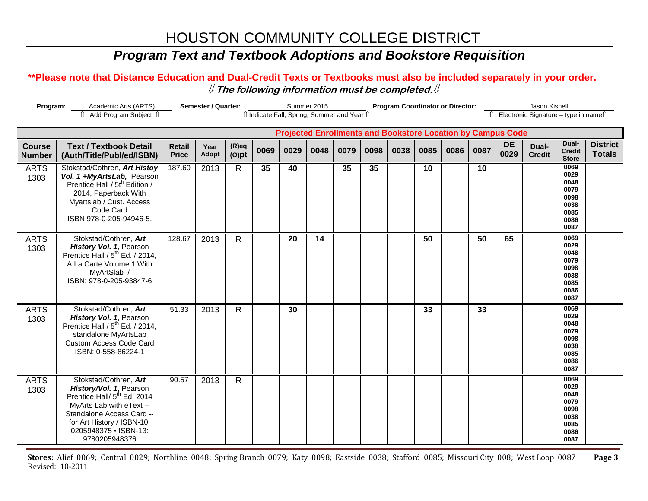### *Program Text and Textbook Adoptions and Bookstore Requisition*

#### **\*\*Please note that Distance Education and Dual-Credit Texts or Textbooks must also be included separately in your order.**  ⇓ **The following information must be completed.**⇓

| <b>Semester / Quarter:</b><br>Program:<br>Academic Arts (ARTS) |                                                                                                                                                                                                                              |                               |               |                      |      | Summer 2015                                  |      | <b>Program Coordinator or Director:</b> |      |      |                 |      |                                          | Jason Kishell                                                      |                        |                                                                      |                                  |
|----------------------------------------------------------------|------------------------------------------------------------------------------------------------------------------------------------------------------------------------------------------------------------------------------|-------------------------------|---------------|----------------------|------|----------------------------------------------|------|-----------------------------------------|------|------|-----------------|------|------------------------------------------|--------------------------------------------------------------------|------------------------|----------------------------------------------------------------------|----------------------------------|
|                                                                | î Add Program Subject î                                                                                                                                                                                                      |                               |               |                      |      | îl Indicate Fall, Spring, Summer and Year îl |      |                                         |      |      |                 |      | Îl Electronic Signature – type in nameîl |                                                                    |                        |                                                                      |                                  |
|                                                                |                                                                                                                                                                                                                              |                               |               |                      |      |                                              |      |                                         |      |      |                 |      |                                          | <b>Projected Enrollments and Bookstore Location by Campus Code</b> |                        |                                                                      |                                  |
| <b>Course</b><br><b>Number</b>                                 | <b>Text / Textbook Detail</b><br>(Auth/Title/Publ/ed/ISBN)                                                                                                                                                                   | <b>Retail</b><br><b>Price</b> | Year<br>Adopt | $(R)$ eq<br>$(O)$ pt | 0069 | 0029                                         | 0048 | 0079                                    | 0098 | 0038 | 0085            | 0086 | 0087                                     | <b>DE</b><br>0029                                                  | Dual-<br><b>Credit</b> | Dual-<br><b>Credit</b><br><b>Store</b>                               | <b>District</b><br><b>Totals</b> |
| <b>ARTS</b><br>1303                                            | Stokstad/Cothren, Art Histoy<br>Vol. 1 +MyArtsLab, Pearson<br>Prentice Hall / 5t <sup>h</sup> Edition /<br>2014, Paperback With<br>Myartslab / Cust. Access<br>Code Card<br>ISBN 978-0-205-94946-5.                          | 187.60                        | 2013          | $\mathsf{R}$         | 35   | 40                                           |      | 35                                      | 35   |      | 10              |      | 10                                       |                                                                    |                        | 0069<br>0029<br>0048<br>0079<br>0098<br>0038<br>0085<br>0086<br>0087 |                                  |
| <b>ARTS</b><br>1303                                            | Stokstad/Cothren, Art<br>History Vol. 1, Pearson<br>Prentice Hall / 5 <sup>th</sup> Ed. / 2014,<br>A La Carte Volume 1 With<br>MyArtSlab /<br>ISBN: 978-0-205-93847-6                                                        | 128.67                        | 2013          | R.                   |      | 20                                           | 14   |                                         |      |      | $\overline{50}$ |      | 50                                       | 65                                                                 |                        | 0069<br>0029<br>0048<br>0079<br>0098<br>0038<br>0085<br>0086<br>0087 |                                  |
| <b>ARTS</b><br>1303                                            | Stokstad/Cothren, Art<br>History Vol. 1, Pearson<br>Prentice Hall / 5 <sup>th</sup> Ed. / 2014,<br>standalone MyArtsLab<br><b>Custom Access Code Card</b><br>ISBN: 0-558-86224-1                                             | 51.33                         | 2013          | R                    |      | 30                                           |      |                                         |      |      | 33              |      | 33                                       |                                                                    |                        | 0069<br>0029<br>0048<br>0079<br>0098<br>0038<br>0085<br>0086<br>0087 |                                  |
| <b>ARTS</b><br>1303                                            | Stokstad/Cothren, Art<br>History/Vol. 1, Pearson<br>Prentice Hall/ 5 <sup>th</sup> Ed. 2014<br>MyArts Lab with eText --<br>Standalone Access Card --<br>for Art History / ISBN-10:<br>0205948375 • ISBN-13:<br>9780205948376 | 90.57                         | 2013          | $\mathsf{R}$         |      |                                              |      |                                         |      |      |                 |      |                                          |                                                                    |                        | 0069<br>0029<br>0048<br>0079<br>0098<br>0038<br>0085<br>0086<br>0087 |                                  |

**Stores:** Alief 0069; Central 0029; Northline 0048; Spring Branch 0079; Katy 0098; Eastside 0038; Stafford 0085; Missouri City 008; West Loop 0087 **Page 3** Revised: 10-2011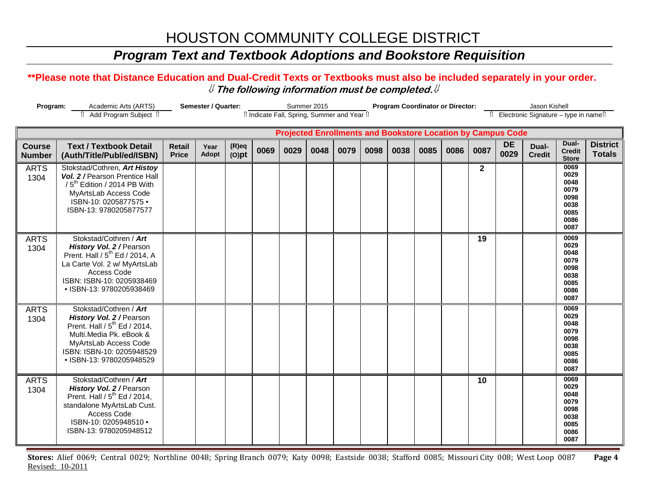### *Program Text and Textbook Adoptions and Bookstore Requisition*

#### **\*\*Please note that Distance Education and Dual-Credit Texts or Textbooks must also be included separately in your order.**  ⇓ **The following information must be completed.**⇓

| Program:<br>Academic Arts (ARTS) |                                                                                                                                                                                                          |                               | Semester / Quarter:<br>Summer 2015<br>Il Indicate Fall, Spring, Summer and Year Il |                      |      |      |      |      |      | <b>Program Coordinator or Director:</b> |      |      |             | Jason Kishell                                                      |                                          |                                                                      |                                  |
|----------------------------------|----------------------------------------------------------------------------------------------------------------------------------------------------------------------------------------------------------|-------------------------------|------------------------------------------------------------------------------------|----------------------|------|------|------|------|------|-----------------------------------------|------|------|-------------|--------------------------------------------------------------------|------------------------------------------|----------------------------------------------------------------------|----------------------------------|
|                                  | Add Program Subject 1                                                                                                                                                                                    |                               |                                                                                    |                      |      |      |      |      |      |                                         |      |      |             |                                                                    | Îl Electronic Signature - type in nameîl |                                                                      |                                  |
|                                  |                                                                                                                                                                                                          |                               |                                                                                    |                      |      |      |      |      |      |                                         |      |      |             | <b>Projected Enrollments and Bookstore Location by Campus Code</b> |                                          |                                                                      |                                  |
| <b>Course</b><br><b>Number</b>   | <b>Text / Textbook Detail</b><br>(Auth/Title/Publ/ed/ISBN)                                                                                                                                               | <b>Retail</b><br><b>Price</b> | Year<br>Adopt                                                                      | $(R)$ eq<br>$(O)$ pt | 0069 | 0029 | 0048 | 0079 | 0098 | 0038                                    | 0085 | 0086 | 0087        | <b>DE</b><br>0029                                                  | Dual-<br><b>Credit</b>                   | Dual-<br><b>Credit</b><br><b>Store</b>                               | <b>District</b><br><b>Totals</b> |
| <b>ARTS</b><br>1304              | Stokstad/Cothren, Art Histoy<br>Vol. 2 / Pearson Prentice Hall<br>/5 <sup>th</sup> Edition / 2014 PB With<br>MyArtsLab Access Code<br>ISBN-10: 0205877575 ·<br>ISBN-13: 9780205877577                    |                               |                                                                                    |                      |      |      |      |      |      |                                         |      |      | $\mathbf 2$ |                                                                    |                                          | 0069<br>0029<br>0048<br>0079<br>0098<br>0038<br>0085<br>0086<br>0087 |                                  |
| <b>ARTS</b><br>1304              | Stokstad/Cothren / Art<br>History Vol. 2 / Pearson<br>Prent. Hall / 5 <sup>th</sup> Ed / 2014, A<br>La Carte Vol. 2 w/ MyArtsLab<br>Access Code<br>ISBN: ISBN-10: 0205938469<br>• ISBN-13: 9780205938469 |                               |                                                                                    |                      |      |      |      |      |      |                                         |      |      | 19          |                                                                    |                                          | 0069<br>0029<br>0048<br>0079<br>0098<br>0038<br>0085<br>0086<br>0087 |                                  |
| <b>ARTS</b><br>1304              | Stokstad/Cothren / Art<br><b>History Vol. 2</b> / Pearson<br>Prent. Hall / $5th$ Ed / 2014,<br>Multi.Media Pk. eBook &<br>MyArtsLab Access Code<br>ISBN: ISBN-10: 0205948529<br>• ISBN-13: 9780205948529 |                               |                                                                                    |                      |      |      |      |      |      |                                         |      |      |             |                                                                    |                                          | 0069<br>0029<br>0048<br>0079<br>0098<br>0038<br>0085<br>0086<br>0087 |                                  |
| <b>ARTS</b><br>1304              | Stokstad/Cothren / Art<br>History Vol. 2 / Pearson<br>Prent. Hall / 5 <sup>th</sup> Ed / 2014,<br>standalone MyArtsLab Cust.<br>Access Code<br>ISBN-10: 0205948510 .<br>ISBN-13: 9780205948512           |                               |                                                                                    |                      |      |      |      |      |      |                                         |      |      | 10          |                                                                    |                                          | 0069<br>0029<br>0048<br>0079<br>0098<br>0038<br>0085<br>0086<br>0087 |                                  |

**Stores:** Alief 0069; Central 0029; Northline 0048; Spring Branch 0079; Katy 0098; Eastside 0038; Stafford 0085; Missouri City 008; West Loop 0087 **Page 4** Revised: 10-2011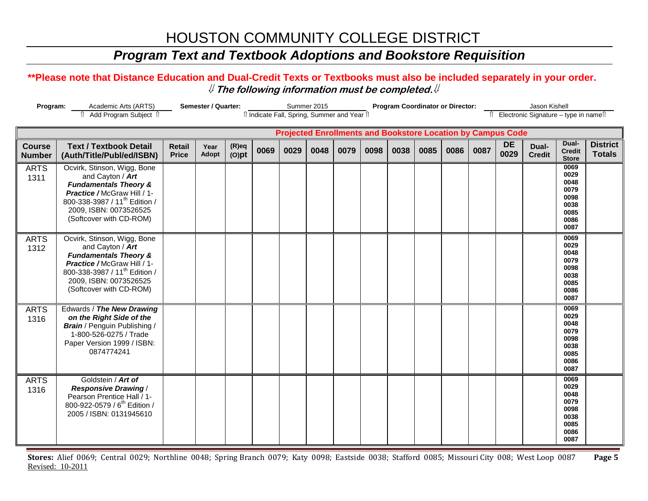### *Program Text and Textbook Adoptions and Bookstore Requisition*

#### **\*\*Please note that Distance Education and Dual-Credit Texts or Textbooks must also be included separately in your order.**  ⇓ **The following information must be completed.**⇓

| Program:<br>Academic Arts (ARTS)<br>Add Program Subject 1 |                                                                                                                                                                                                                      |                               | Semester / Quarter: | Summer 2015<br>îl Indicate Fall, Spring, Summer and Year îl |      |      |      |      | <b>Program Coordinator or Director:</b> |                                                                    |      |      |      | Jason Kishell     |                                          |                                                                      |                                  |
|-----------------------------------------------------------|----------------------------------------------------------------------------------------------------------------------------------------------------------------------------------------------------------------------|-------------------------------|---------------------|-------------------------------------------------------------|------|------|------|------|-----------------------------------------|--------------------------------------------------------------------|------|------|------|-------------------|------------------------------------------|----------------------------------------------------------------------|----------------------------------|
|                                                           |                                                                                                                                                                                                                      |                               |                     |                                                             |      |      |      |      |                                         |                                                                    |      |      |      |                   | î Electronic Signature – type in nameî î |                                                                      |                                  |
|                                                           |                                                                                                                                                                                                                      |                               |                     |                                                             |      |      |      |      |                                         | <b>Projected Enrollments and Bookstore Location by Campus Code</b> |      |      |      |                   |                                          |                                                                      |                                  |
| <b>Course</b><br><b>Number</b>                            | <b>Text / Textbook Detail</b><br>(Auth/Title/Publ/ed/ISBN)                                                                                                                                                           | <b>Retail</b><br><b>Price</b> | Year<br>Adopt       | $(R)$ eq<br>$(O)$ pt                                        | 0069 | 0029 | 0048 | 0079 | 0098                                    | 0038                                                               | 0085 | 0086 | 0087 | <b>DE</b><br>0029 | Dual-<br><b>Credit</b>                   | Dual-<br><b>Credit</b><br><b>Store</b>                               | <b>District</b><br><b>Totals</b> |
| <b>ARTS</b><br>1311                                       | Ocvirk, Stinson, Wigg, Bone<br>and Cayton / Art<br><b>Fundamentals Theory &amp;</b><br>Practice / McGraw Hill / 1-<br>800-338-3987 / 11 <sup>th</sup> Edition /<br>2009, ISBN: 0073526525<br>(Softcover with CD-ROM) |                               |                     |                                                             |      |      |      |      |                                         |                                                                    |      |      |      |                   |                                          | 0069<br>0029<br>0048<br>0079<br>0098<br>0038<br>0085<br>0086<br>0087 |                                  |
| <b>ARTS</b><br>1312                                       | Ocvirk, Stinson, Wigg, Bone<br>and Cayton / Art<br><b>Fundamentals Theory &amp;</b><br>Practice / McGraw Hill / 1-<br>800-338-3987 / 11 <sup>th</sup> Edition /<br>2009, ISBN: 0073526525<br>(Softcover with CD-ROM) |                               |                     |                                                             |      |      |      |      |                                         |                                                                    |      |      |      |                   |                                          | 0069<br>0029<br>0048<br>0079<br>0098<br>0038<br>0085<br>0086<br>0087 |                                  |
| <b>ARTS</b><br>1316                                       | Edwards / The New Drawing<br>on the Right Side of the<br><b>Brain</b> / Penguin Publishing /<br>1-800-526-0275 / Trade<br>Paper Version 1999 / ISBN:<br>0874774241                                                   |                               |                     |                                                             |      |      |      |      |                                         |                                                                    |      |      |      |                   |                                          | 0069<br>0029<br>0048<br>0079<br>0098<br>0038<br>0085<br>0086<br>0087 |                                  |
| <b>ARTS</b><br>1316                                       | Goldstein / Art of<br><b>Responsive Drawing /</b><br>Pearson Prentice Hall / 1-<br>800-922-0579 / 6 <sup>th</sup> Edition /<br>2005 / ISBN: 0131945610                                                               |                               |                     |                                                             |      |      |      |      |                                         |                                                                    |      |      |      |                   |                                          | 0069<br>0029<br>0048<br>0079<br>0098<br>0038<br>0085<br>0086<br>0087 |                                  |

**Stores:** Alief 0069; Central 0029; Northline 0048; Spring Branch 0079; Katy 0098; Eastside 0038; Stafford 0085; Missouri City 008; West Loop 0087 **Page 5** Revised: 10-2011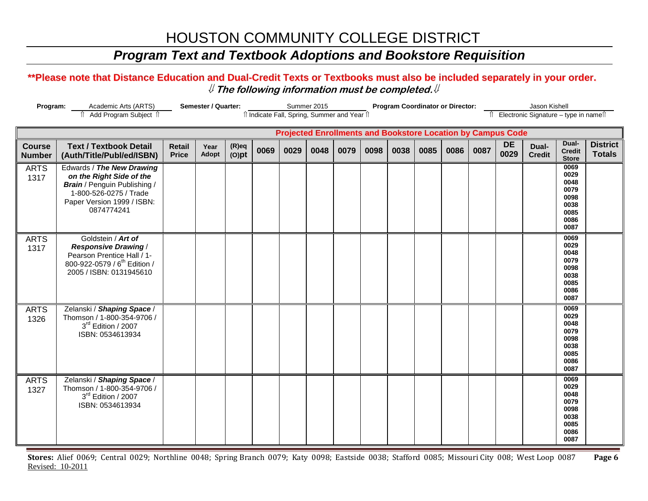### *Program Text and Textbook Adoptions and Bookstore Requisition*

#### **\*\*Please note that Distance Education and Dual-Credit Texts or Textbooks must also be included separately in your order.**  ⇓ **The following information must be completed.**⇓

| Program:<br>Academic Arts (ARTS) |                                                                                                                                                                    |                               | Semester / Quarter: | Summer 2015<br>îl Indicate Fall, Spring, Summer and Year îl |      |      |      |                                                                    | <b>Program Coordinator or Director:</b> |      |      |      |                                          | Jason Kishell     |                        |                                                                      |                                  |
|----------------------------------|--------------------------------------------------------------------------------------------------------------------------------------------------------------------|-------------------------------|---------------------|-------------------------------------------------------------|------|------|------|--------------------------------------------------------------------|-----------------------------------------|------|------|------|------------------------------------------|-------------------|------------------------|----------------------------------------------------------------------|----------------------------------|
|                                  | Add Program Subject 1                                                                                                                                              |                               |                     |                                                             |      |      |      |                                                                    |                                         |      |      |      | Îl Electronic Signature - type in nameîl |                   |                        |                                                                      |                                  |
|                                  |                                                                                                                                                                    |                               |                     |                                                             |      |      |      | <b>Projected Enrollments and Bookstore Location by Campus Code</b> |                                         |      |      |      |                                          |                   |                        |                                                                      |                                  |
| <b>Course</b><br><b>Number</b>   | <b>Text / Textbook Detail</b><br>(Auth/Title/Publ/ed/ISBN)                                                                                                         | <b>Retail</b><br><b>Price</b> | Year<br>Adopt       | $(R)$ eq<br>$(O)$ pt                                        | 0069 | 0029 | 0048 | 0079                                                               | 0098                                    | 0038 | 0085 | 0086 | 0087                                     | <b>DE</b><br>0029 | Dual-<br><b>Credit</b> | Dual-<br><b>Credit</b><br><b>Store</b>                               | <b>District</b><br><b>Totals</b> |
| <b>ARTS</b><br>1317              | Edwards / The New Drawing<br>on the Right Side of the<br><b>Brain</b> / Penguin Publishing /<br>1-800-526-0275 / Trade<br>Paper Version 1999 / ISBN:<br>0874774241 |                               |                     |                                                             |      |      |      |                                                                    |                                         |      |      |      |                                          |                   |                        | 0069<br>0029<br>0048<br>0079<br>0098<br>0038<br>0085<br>0086<br>0087 |                                  |
| <b>ARTS</b><br>1317              | Goldstein / Art of<br><b>Responsive Drawing /</b><br>Pearson Prentice Hall / 1-<br>800-922-0579 / 6 <sup>th</sup> Edition /<br>2005 / ISBN: 0131945610             |                               |                     |                                                             |      |      |      |                                                                    |                                         |      |      |      |                                          |                   |                        | 0069<br>0029<br>0048<br>0079<br>0098<br>0038<br>0085<br>0086<br>0087 |                                  |
| <b>ARTS</b><br>1326              | Zelanski / Shaping Space /<br>Thomson / 1-800-354-9706 /<br>3rd Edition / 2007<br>ISBN: 0534613934                                                                 |                               |                     |                                                             |      |      |      |                                                                    |                                         |      |      |      |                                          |                   |                        | 0069<br>0029<br>0048<br>0079<br>0098<br>0038<br>0085<br>0086<br>0087 |                                  |
| <b>ARTS</b><br>1327              | Zelanski / Shaping Space /<br>Thomson / 1-800-354-9706 /<br>3rd Edition / 2007<br>ISBN: 0534613934                                                                 |                               |                     |                                                             |      |      |      |                                                                    |                                         |      |      |      |                                          |                   |                        | 0069<br>0029<br>0048<br>0079<br>0098<br>0038<br>0085<br>0086<br>0087 |                                  |

**Stores:** Alief 0069; Central 0029; Northline 0048; Spring Branch 0079; Katy 0098; Eastside 0038; Stafford 0085; Missouri City 008; West Loop 0087 **Page 6** Revised: 10-2011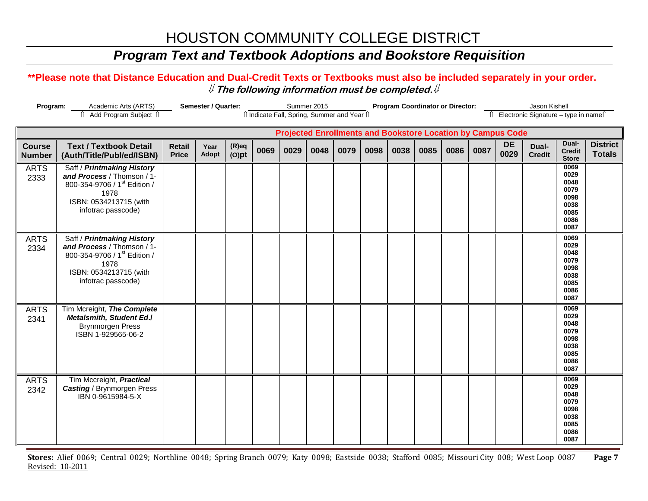### *Program Text and Textbook Adoptions and Bookstore Requisition*

#### **\*\*Please note that Distance Education and Dual-Credit Texts or Textbooks must also be included separately in your order.**  ⇓ **The following information must be completed.**⇓

| Semester / Quarter:<br>Program:<br>Academic Arts (ARTS) |                                                                                                                                                              |                               |               |                      |                                              | Summer 2015 |      | Program Coordinator or Director: |      |                                                                    |      |      |      | Jason Kishell     |                                          |                                                                      |                                  |
|---------------------------------------------------------|--------------------------------------------------------------------------------------------------------------------------------------------------------------|-------------------------------|---------------|----------------------|----------------------------------------------|-------------|------|----------------------------------|------|--------------------------------------------------------------------|------|------|------|-------------------|------------------------------------------|----------------------------------------------------------------------|----------------------------------|
|                                                         | Add Program Subject 1                                                                                                                                        |                               |               |                      | îl Indicate Fall, Spring, Summer and Year îl |             |      |                                  |      |                                                                    |      |      |      |                   | Îl Electronic Signature - type in nameîl |                                                                      |                                  |
|                                                         |                                                                                                                                                              |                               |               |                      |                                              |             |      |                                  |      | <b>Projected Enrollments and Bookstore Location by Campus Code</b> |      |      |      |                   |                                          |                                                                      |                                  |
| <b>Course</b><br><b>Number</b>                          | <b>Text / Textbook Detail</b><br>(Auth/Title/Publ/ed/ISBN)                                                                                                   | <b>Retail</b><br><b>Price</b> | Year<br>Adopt | $(R)$ eq<br>$(O)$ pt | 0069                                         | 0029        | 0048 | 0079                             | 0098 | 0038                                                               | 0085 | 0086 | 0087 | <b>DE</b><br>0029 | Dual-<br><b>Credit</b>                   | Dual-<br><b>Credit</b><br><b>Store</b>                               | <b>District</b><br><b>Totals</b> |
| <b>ARTS</b><br>2333                                     | Saff / Printmaking History<br>and Process / Thomson / 1-<br>800-354-9706 / 1 <sup>st</sup> Edition /<br>1978<br>ISBN: 0534213715 (with<br>infotrac passcode) |                               |               |                      |                                              |             |      |                                  |      |                                                                    |      |      |      |                   |                                          | 0069<br>0029<br>0048<br>0079<br>0098<br>0038<br>0085<br>0086<br>0087 |                                  |
| <b>ARTS</b><br>2334                                     | Saff / Printmaking History<br>and Process / Thomson / 1-<br>800-354-9706 / 1 <sup>st</sup> Edition /<br>1978<br>ISBN: 0534213715 (with<br>infotrac passcode) |                               |               |                      |                                              |             |      |                                  |      |                                                                    |      |      |      |                   |                                          | 0069<br>0029<br>0048<br>0079<br>0098<br>0038<br>0085<br>0086<br>0087 |                                  |
| <b>ARTS</b><br>2341                                     | Tim Mcreight, The Complete<br><b>Metalsmith, Student Ed./</b><br><b>Brynmorgen Press</b><br>ISBN 1-929565-06-2                                               |                               |               |                      |                                              |             |      |                                  |      |                                                                    |      |      |      |                   |                                          | 0069<br>0029<br>0048<br>0079<br>0098<br>0038<br>0085<br>0086<br>0087 |                                  |
| <b>ARTS</b><br>2342                                     | Tim Mccreight, <b>Practical</b><br><b>Casting / Brynmorgen Press</b><br>IBN 0-9615984-5-X                                                                    |                               |               |                      |                                              |             |      |                                  |      |                                                                    |      |      |      |                   |                                          | 0069<br>0029<br>0048<br>0079<br>0098<br>0038<br>0085<br>0086<br>0087 |                                  |

**Stores:** Alief 0069; Central 0029; Northline 0048; Spring Branch 0079; Katy 0098; Eastside 0038; Stafford 0085; Missouri City 008; West Loop 0087 **Page 7** Revised: 10-2011